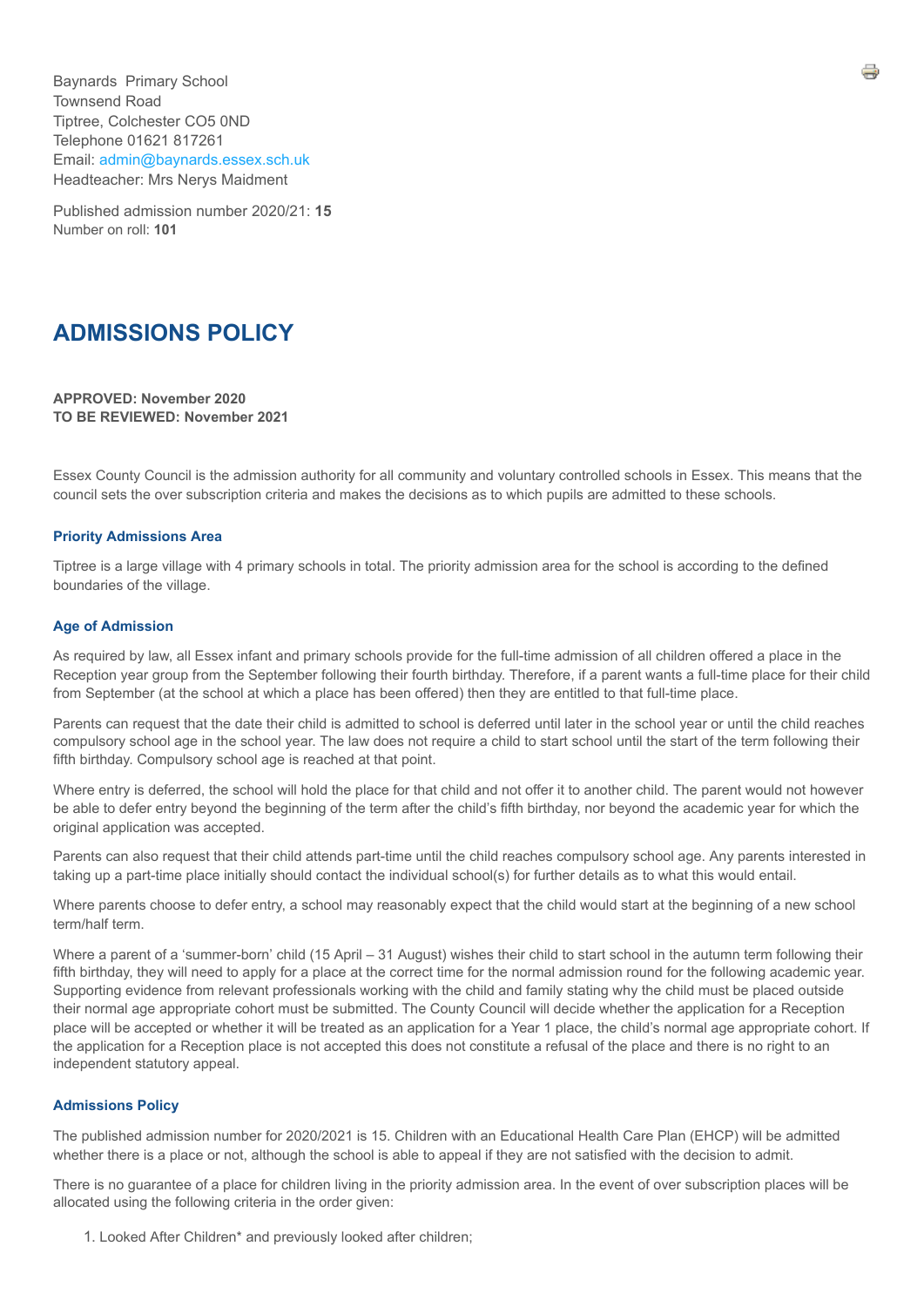Baynards Primary School Townsend Road Tiptree, Colchester CO5 0ND Telephone 01621 817261 Email: [admin@baynards.essex.sch.uk](mailto:admin@baynards.essex.sch.uk) Headteacher: Mrs Nerys Maidment

Published admission number 2020/21: **15** Number on roll: **101**

# **ADMISSIONS POLICY**

**APPROVED: November 2020 TO BE REVIEWED: November 2021**

Essex County Council is the admission authority for all community and voluntary controlled schools in Essex. This means that the council sets the over subscription criteria and makes the decisions as to which pupils are admitted to these schools.

### **Priority Admissions Area**

Tiptree is a large village with 4 primary schools in total. The priority admission area for the school is according to the defined boundaries of the village.

#### **Age of Admission**

As required by law, all Essex infant and primary schools provide for the full-time admission of all children offered a place in the Reception year group from the September following their fourth birthday. Therefore, if a parent wants a full-time place for their child from September (at the school at which a place has been offered) then they are entitled to that full-time place.

Parents can request that the date their child is admitted to school is deferred until later in the school year or until the child reaches compulsory school age in the school year. The law does not require a child to start school until the start of the term following their fifth birthday. Compulsory school age is reached at that point.

Where entry is deferred, the school will hold the place for that child and not offer it to another child. The parent would not however be able to defer entry beyond the beginning of the term after the child's fifth birthday, nor beyond the academic year for which the original application was accepted.

Parents can also request that their child attends part-time until the child reaches compulsory school age. Any parents interested in taking up a part-time place initially should contact the individual school(s) for further details as to what this would entail.

Where parents choose to defer entry, a school may reasonably expect that the child would start at the beginning of a new school term/half term.

Where a parent of a 'summer-born' child (15 April – 31 August) wishes their child to start school in the autumn term following their fifth birthday, they will need to apply for a place at the correct time for the normal admission round for the following academic year. Supporting evidence from relevant professionals working with the child and family stating why the child must be placed outside their normal age appropriate cohort must be submitted. The County Council will decide whether the application for a Reception place will be accepted or whether it will be treated as an application for a Year 1 place, the child's normal age appropriate cohort. If the application for a Reception place is not accepted this does not constitute a refusal of the place and there is no right to an independent statutory appeal.

#### **Admissions Policy**

The published admission number for 2020/2021 is 15. Children with an Educational Health Care Plan (EHCP) will be admitted whether there is a place or not, although the school is able to appeal if they are not satisfied with the decision to admit.

There is no guarantee of a place for children living in the priority admission area. In the event of over subscription places will be allocated using the following criteria in the order given:

1. Looked After Children\* and previously looked after children;